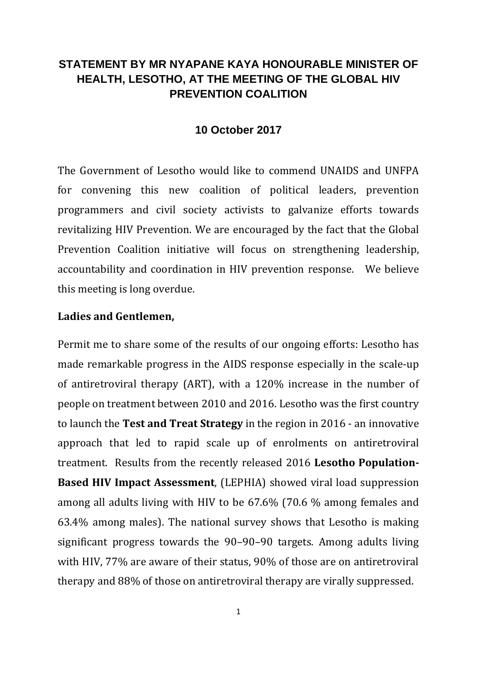# **STATEMENT BY MR NYAPANE KAYA HONOURABLE MINISTER OF HEALTH, LESOTHO, AT THE MEETING OF THE GLOBAL HIV PREVENTION COALITION**

#### **10 October 2017**

The Government of Lesotho would like to commend UNAIDS and UNFPA for convening this new coalition of political leaders, prevention programmers and civil society activists to galvanize efforts towards revitalizing HIV Prevention. We are encouraged by the fact that the Global Prevention Coalition initiative will focus on strengthening leadership, accountability and coordination in HIV prevention response. We believe this meeting is long overdue.

#### **Ladies and Gentlemen,**

Permit me to share some of the results of our ongoing efforts: Lesotho has made remarkable progress in the AIDS response especially in the scale-up of antiretroviral therapy (ART), with a 120% increase in the number of people on treatment between 2010 and 2016. Lesotho was the first country to launch the **Test and Treat Strategy** in the region in 2016 - an innovative approach that led to rapid scale up of enrolments on antiretroviral treatment. Results from the recently released 2016 **Lesotho Population-Based HIV Impact Assessment**, (LEPHIA) showed viral load suppression among all adults living with HIV to be 67.6% (70.6 % among females and 63.4% among males). The national survey shows that Lesotho is making significant progress towards the 90–90–90 targets. Among adults living with HIV, 77% are aware of their status, 90% of those are on antiretroviral therapy and 88% of those on antiretroviral therapy are virally suppressed.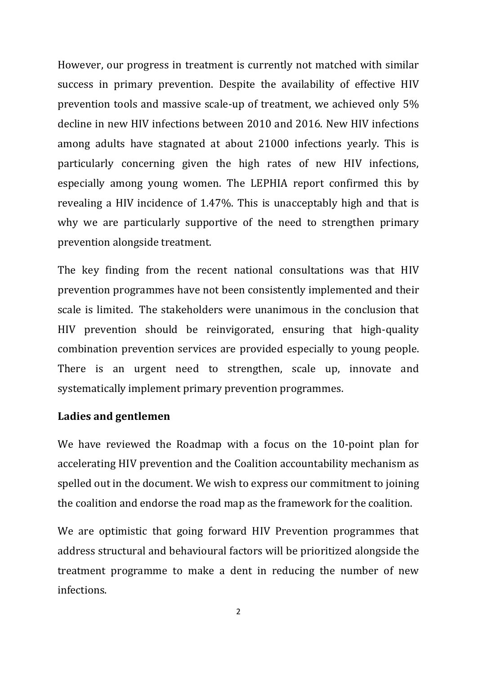However, our progress in treatment is currently not matched with similar success in primary prevention. Despite the availability of effective HIV prevention tools and massive scale-up of treatment, we achieved only 5% decline in new HIV infections between 2010 and 2016. New HIV infections among adults have stagnated at about 21000 infections yearly. This is particularly concerning given the high rates of new HIV infections, especially among young women. The LEPHIA report confirmed this by revealing a HIV incidence of 1.47%. This is unacceptably high and that is why we are particularly supportive of the need to strengthen primary prevention alongside treatment.

The key finding from the recent national consultations was that HIV prevention programmes have not been consistently implemented and their scale is limited. The stakeholders were unanimous in the conclusion that HIV prevention should be reinvigorated, ensuring that high-quality combination prevention services are provided especially to young people. There is an urgent need to strengthen, scale up, innovate and systematically implement primary prevention programmes.

#### **Ladies and gentlemen**

We have reviewed the Roadmap with a focus on the 10-point plan for accelerating HIV prevention and the Coalition accountability mechanism as spelled out in the document. We wish to express our commitment to joining the coalition and endorse the road map as the framework for the coalition.

We are optimistic that going forward HIV Prevention programmes that address structural and behavioural factors will be prioritized alongside the treatment programme to make a dent in reducing the number of new infections.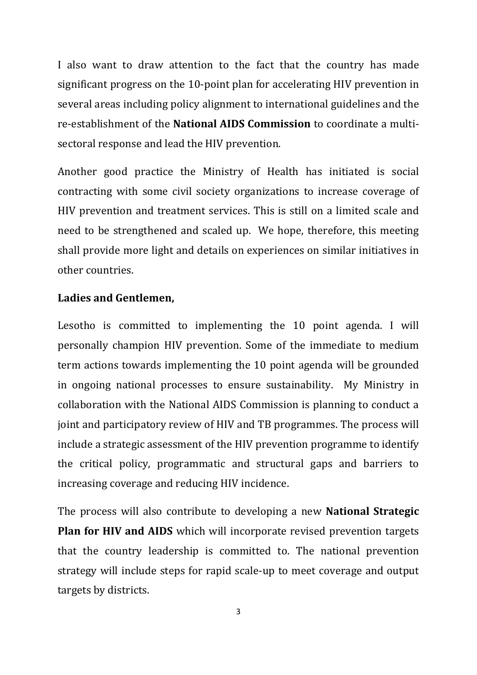I also want to draw attention to the fact that the country has made significant progress on the 10-point plan for accelerating HIV prevention in several areas including policy alignment to international guidelines and the re-establishment of the **National AIDS Commission** to coordinate a multisectoral response and lead the HIV prevention.

Another good practice the Ministry of Health has initiated is social contracting with some civil society organizations to increase coverage of HIV prevention and treatment services. This is still on a limited scale and need to be strengthened and scaled up. We hope, therefore, this meeting shall provide more light and details on experiences on similar initiatives in other countries.

## **Ladies and Gentlemen,**

Lesotho is committed to implementing the 10 point agenda. I will personally champion HIV prevention. Some of the immediate to medium term actions towards implementing the 10 point agenda will be grounded in ongoing national processes to ensure sustainability. My Ministry in collaboration with the National AIDS Commission is planning to conduct a joint and participatory review of HIV and TB programmes. The process will include a strategic assessment of the HIV prevention programme to identify the critical policy, programmatic and structural gaps and barriers to increasing coverage and reducing HIV incidence.

The process will also contribute to developing a new **National Strategic Plan for HIV and AIDS** which will incorporate revised prevention targets that the country leadership is committed to. The national prevention strategy will include steps for rapid scale-up to meet coverage and output targets by districts.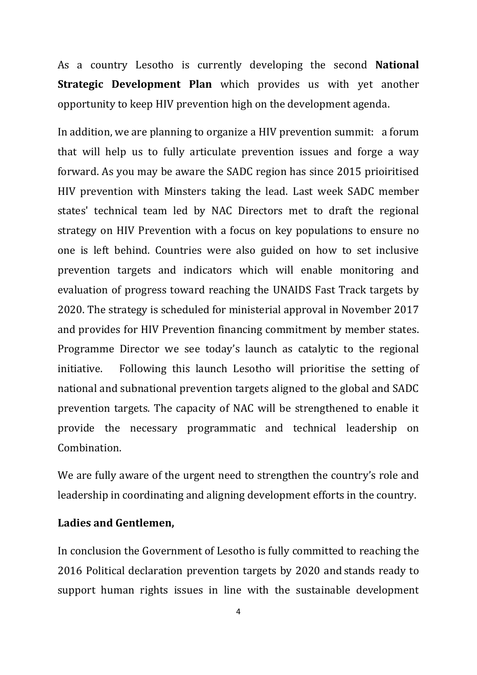As a country Lesotho is currently developing the second **National Strategic Development Plan** which provides us with yet another opportunity to keep HIV prevention high on the development agenda.

In addition, we are planning to organize a HIV prevention summit: a forum that will help us to fully articulate prevention issues and forge a way forward. As you may be aware the SADC region has since 2015 prioiritised HIV prevention with Minsters taking the lead. Last week SADC member states' technical team led by NAC Directors met to draft the regional strategy on HIV Prevention with a focus on key populations to ensure no one is left behind. Countries were also guided on how to set inclusive prevention targets and indicators which will enable monitoring and evaluation of progress toward reaching the UNAIDS Fast Track targets by 2020. The strategy is scheduled for ministerial approval in November 2017 and provides for HIV Prevention financing commitment by member states. Programme Director we see today's launch as catalytic to the regional initiative. Following this launch Lesotho will prioritise the setting of national and subnational prevention targets aligned to the global and SADC prevention targets. The capacity of NAC will be strengthened to enable it provide the necessary programmatic and technical leadership on Combination.

We are fully aware of the urgent need to strengthen the country's role and leadership in coordinating and aligning development efforts in the country.

## **Ladies and Gentlemen,**

In conclusion the Government of Lesotho is fully committed to reaching the 2016 Political declaration prevention targets by 2020 and stands ready to support human rights issues in line with the sustainable development